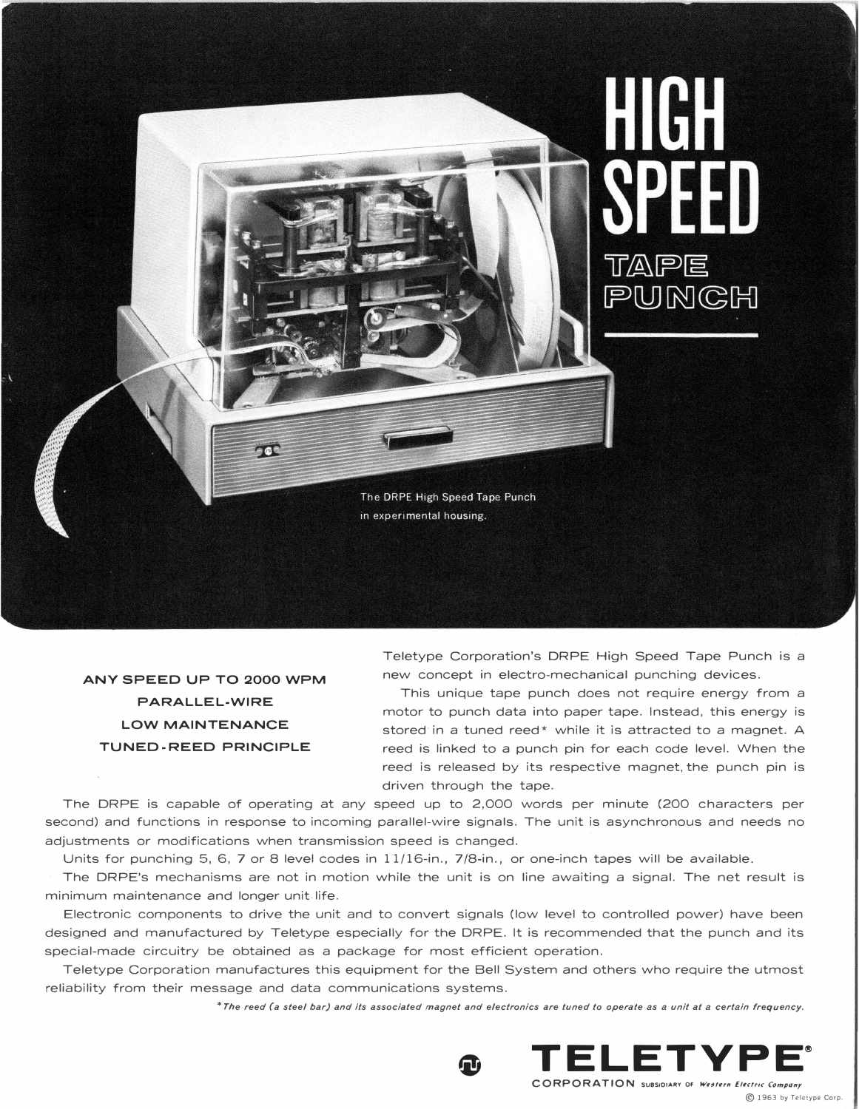

ANY SPEED UP TO 2000 WPM PARALLEL-WIRE LOW MAINTENANCE TUNED-REED PRINCIPLE

Teletype Corporation's DRPE High Speed Tape Punch is a new concept in electro-mechanical punching devices.

This unique tape punch does not require energy from a motor to punch data into paper tape. Instead, this energy is stored in a tuned reed\* while it is attracted to a magnet. A reed is linked to a punch pin for each code level. When the reed is released by its respective magnet, the punch pin is driven through the tape.

The DRPE is capable of operating at any speed up to 2,000 words per minute (200 characters per second) and functions in response to incoming parallel-wire signals. The unit is asynchronous and needs no adjustments or modifications when transmission speed is changed.

Units for punching 5, 6, 7 or 8 level codes in 11/16-in., 7/8-in., or one-inch tapes will be available.

The DRPE's mechanisms are not in motion while the unit is on line awaiting a signal. The net result is minimum maintenance and longer unit. life.

Electronic components to drive the unit and to convert signals (low level to controlled power) have been designed and manufactured by Teletype especially for the DRPE. It is recommended that the punch and its special-made circuitry be obtained as a package for most efficient operation.

Teletype Corporation manufactures this equipment for the Bell System and others who require the utmost reliability from their message and data communications systems.

\*The reed (a steel bar) and its associated magnet and electronics are tuned to operate as a unit at a certain frequency.



CORPORATION SUBSIDIARY OF Western Electric Company